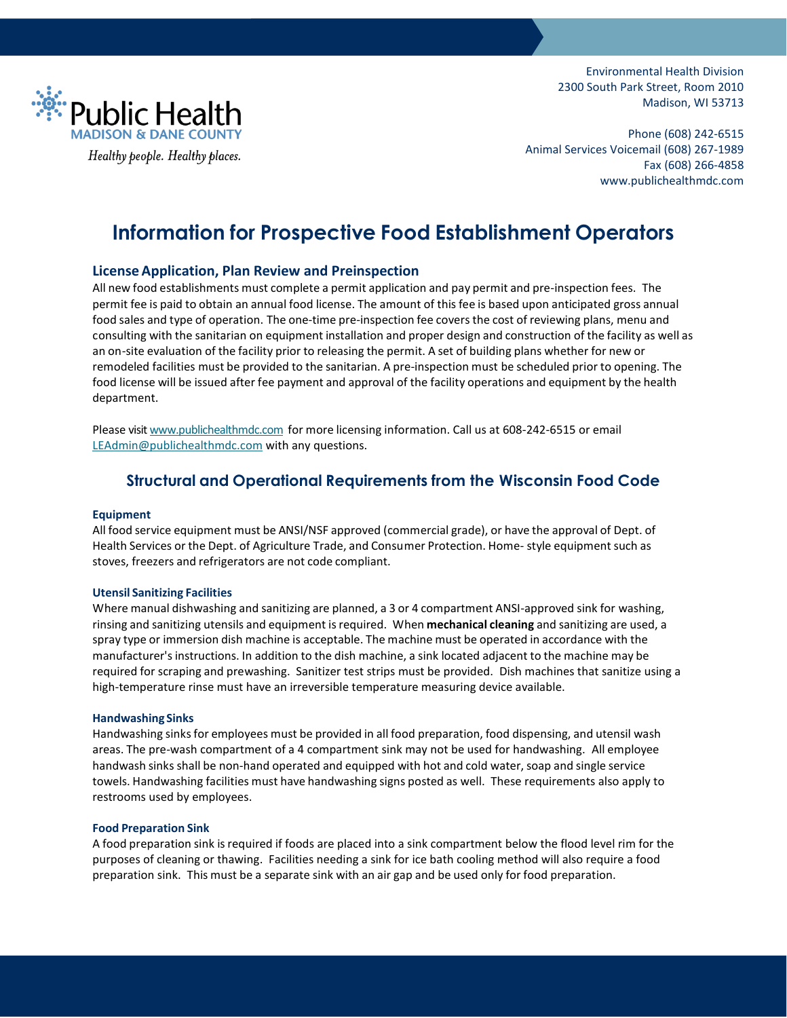

Environmental Health Division 2300 South Park Street, Room 2010 Madison, WI 53713

Phone (608) 242-6515 Animal Services Voicemail (608) 267-1989 Fax (608) 266-4858 www.publichealthmdc.com

# **Information for Prospective Food Establishment Operators**

# **LicenseApplication, Plan Review and Preinspection**

All new food establishments must complete a permit application and pay permit and pre-inspection fees. The permit fee is paid to obtain an annual food license. The amount of this fee is based upon anticipated gross annual food sales and type of operation. The one-time pre-inspection fee covers the cost of reviewing plans, menu and consulting with the sanitarian on equipment installation and proper design and construction of the facility as well as an on-site evaluation of the facility prior to releasing the permit. A set of building plans whether for new or remodeled facilities must be provided to the sanitarian. A pre-inspection must be scheduled prior to opening. The food license will be issued after fee payment and approval of the facility operations and equipment by the health department.

Please visi[t www.publichealthmdc.com](http://www.publichealthmdc.com/) for more licensing information. Call us at 608-242-6515 or email [LEAdmin@publichealthmdc.com](mailto:LEAdmin@publichealthmdc.com) with any questions.

# **Structural and Operational Requirements from the Wisconsin Food Code**

## **Equipment**

All food service equipment must be ANSI/NSF approved (commercial grade), or have the approval of Dept. of Health Services or the Dept. of Agriculture Trade, and Consumer Protection. Home- style equipment such as stoves, freezers and refrigerators are not code compliant.

#### **Utensil Sanitizing Facilities**

Where manual dishwashing and sanitizing are planned, a 3 or 4 compartment ANSI-approved sink for washing, rinsing and sanitizing utensils and equipment isrequired. When **mechanical cleaning** and sanitizing are used, a spray type or immersion dish machine is acceptable. The machine must be operated in accordance with the manufacturer's instructions. In addition to the dish machine, a sink located adjacent to the machine may be required for scraping and prewashing. Sanitizer test strips must be provided. Dish machines that sanitize using a high-temperature rinse must have an irreversible temperature measuring device available.

#### **Handwashing Sinks**

Handwashing sinks for employees must be provided in all food preparation, food dispensing, and utensil wash areas. The pre-wash compartment of a 4 compartment sink may not be used for handwashing. All employee handwash sinks shall be non-hand operated and equipped with hot and cold water, soap and single service towels. Handwashing facilities must have handwashing signs posted as well. These requirements also apply to restrooms used by employees.

## **Food Preparation Sink**

A food preparation sink is required if foods are placed into a sink compartment below the flood level rim for the purposes of cleaning or thawing. Facilities needing a sink for ice bath cooling method will also require a food preparation sink. This must be a separate sink with an air gap and be used only for food preparation.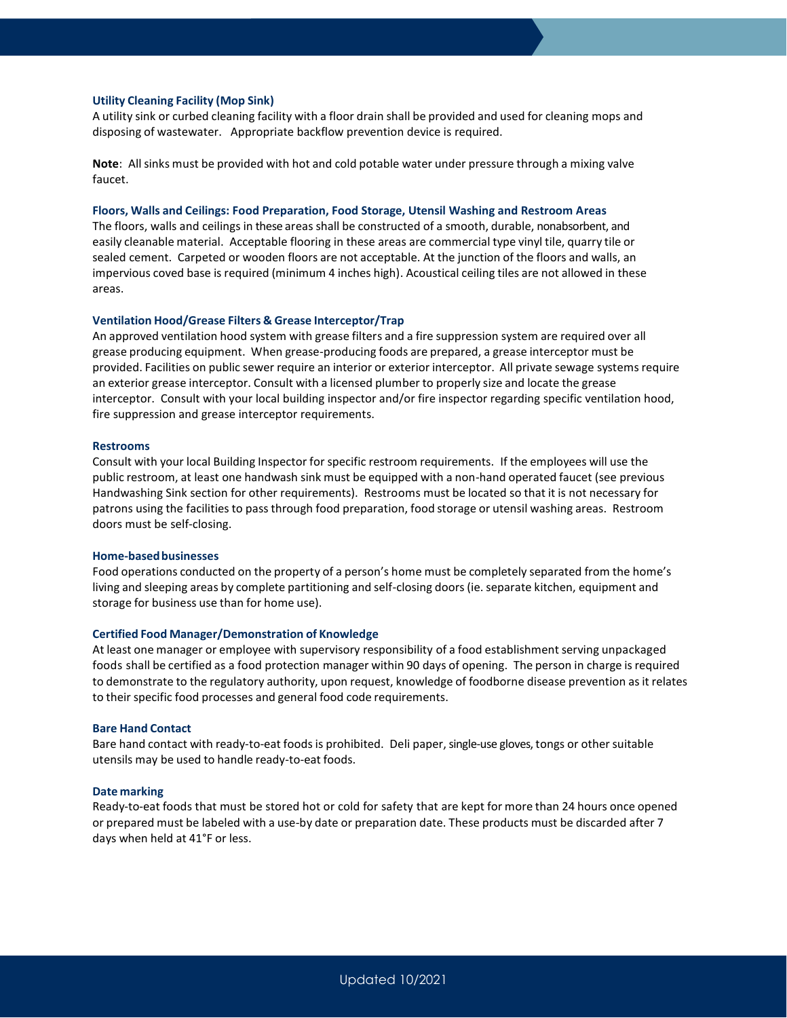#### **Utility Cleaning Facility (Mop Sink)**

A utility sink or curbed cleaning facility with a floor drain shall be provided and used for cleaning mops and disposing of wastewater. Appropriate backflow prevention device is required.

**Note**: Allsinks must be provided with hot and cold potable water under pressure through a mixing valve faucet.

### **Floors, Walls and Ceilings: Food Preparation, Food Storage, Utensil Washing and Restroom Areas**

The floors, walls and ceilings in these areas shall be constructed of a smooth, durable, nonabsorbent, and easily cleanable material. Acceptable flooring in these areas are commercial type vinyl tile, quarry tile or sealed cement. Carpeted or wooden floors are not acceptable. At the junction of the floors and walls, an impervious coved base is required (minimum 4 inches high). Acoustical ceiling tiles are not allowed in these areas.

#### **Ventilation Hood/Grease Filters & Grease Interceptor/Trap**

An approved ventilation hood system with grease filters and a fire suppression system are required over all grease producing equipment. When grease-producing foods are prepared, a grease interceptor must be provided. Facilities on public sewer require an interior or exterior interceptor. All private sewage systems require an exterior grease interceptor. Consult with a licensed plumber to properly size and locate the grease interceptor. Consult with your local building inspector and/or fire inspector regarding specific ventilation hood, fire suppression and grease interceptor requirements.

#### **Restrooms**

Consult with your local Building Inspector for specific restroom requirements. If the employees will use the public restroom, at least one handwash sink must be equipped with a non-hand operated faucet (see previous Handwashing Sink section for other requirements). Restrooms must be located so that it is not necessary for patrons using the facilities to pass through food preparation, food storage or utensil washing areas. Restroom doors must be self-closing.

#### **Home-basedbusinesses**

Food operations conducted on the property of a person's home must be completely separated from the home's living and sleeping areas by complete partitioning and self-closing doors(ie. separate kitchen, equipment and storage for business use than for home use).

#### **Certified Food Manager/Demonstration of Knowledge**

At least one manager or employee with supervisory responsibility of a food establishment serving unpackaged foods shall be certified as a food protection manager within 90 days of opening. The person in charge is required to demonstrate to the regulatory authority, upon request, knowledge of foodborne disease prevention asit relates to their specific food processes and general food code requirements.

#### **Bare Hand Contact**

Bare hand contact with ready-to-eat foods is prohibited. Deli paper, single-use gloves, tongs or othersuitable utensils may be used to handle ready-to-eat foods.

#### **Date marking**

Ready-to-eat foods that must be stored hot or cold for safety that are kept for more than 24 hours once opened or prepared must be labeled with a use-by date or preparation date. These products must be discarded after 7 days when held at 41°F or less.